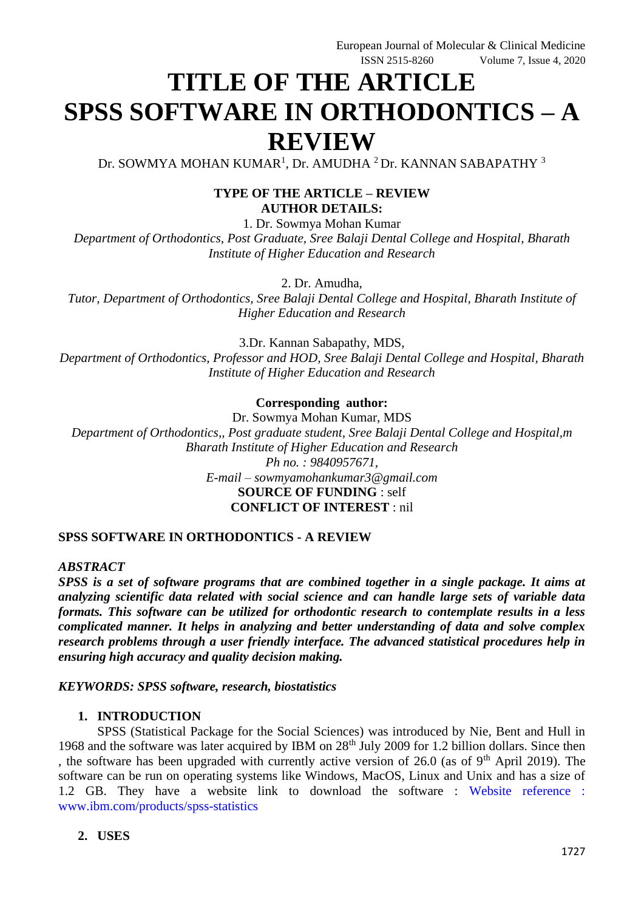# **TITLE OF THE ARTICLE SPSS SOFTWARE IN ORTHODONTICS – A REVIEW**

Dr. SOWMYA MOHAN KUMAR<sup>1</sup>, Dr. AMUDHA <sup>2</sup> Dr. KANNAN SABAPATHY <sup>3</sup>

#### **TYPE OF THE ARTICLE – REVIEW AUTHOR DETAILS:**

1. Dr. Sowmya Mohan Kumar *Department of Orthodontics, Post Graduate, Sree Balaji Dental College and Hospital, Bharath Institute of Higher Education and Research*

2. Dr. Amudha,

*Tutor, Department of Orthodontics, Sree Balaji Dental College and Hospital, Bharath Institute of Higher Education and Research*

3.Dr. Kannan Sabapathy, MDS, *Department of Orthodontics, Professor and HOD, Sree Balaji Dental College and Hospital, Bharath Institute of Higher Education and Research*

#### **Corresponding author:**

Dr. Sowmya Mohan Kumar, MDS *Department of Orthodontics,, Post graduate student, Sree Balaji Dental College and Hospital,m Bharath Institute of Higher Education and Research Ph no. : 9840957671, E-mail – sowmyamohankumar3@gmail.com* **SOURCE OF FUNDING** : self **CONFLICT OF INTEREST** : nil

# **SPSS SOFTWARE IN ORTHODONTICS - A REVIEW**

#### *ABSTRACT*

*SPSS is a set of software programs that are combined together in a single package. It aims at analyzing scientific data related with social science and can handle large sets of variable data formats. This software can be utilized for orthodontic research to contemplate results in a less complicated manner. It helps in analyzing and better understanding of data and solve complex research problems through a user friendly interface. The advanced statistical procedures help in ensuring high accuracy and quality decision making.*

#### *KEYWORDS: SPSS software, research, biostatistics*

#### **1. INTRODUCTION**

SPSS (Statistical Package for the Social Sciences) was introduced by Nie, Bent and Hull in 1968 and the software was later acquired by IBM on 28<sup>th</sup> July 2009 for 1.2 billion dollars. Since then , the software has been upgraded with currently active version of 26.0 (as of  $9<sup>th</sup>$  April 2019). The software can be run on operating systems like Windows, MacOS, Linux and Unix and has a size of 1.2 GB. They have a website link to download the software : [Website reference :](https://www.ibm.com/products/spss-statistics) [www.ibm.com/products/spss-statistics](https://www.ibm.com/products/spss-statistics)

#### **2. USES**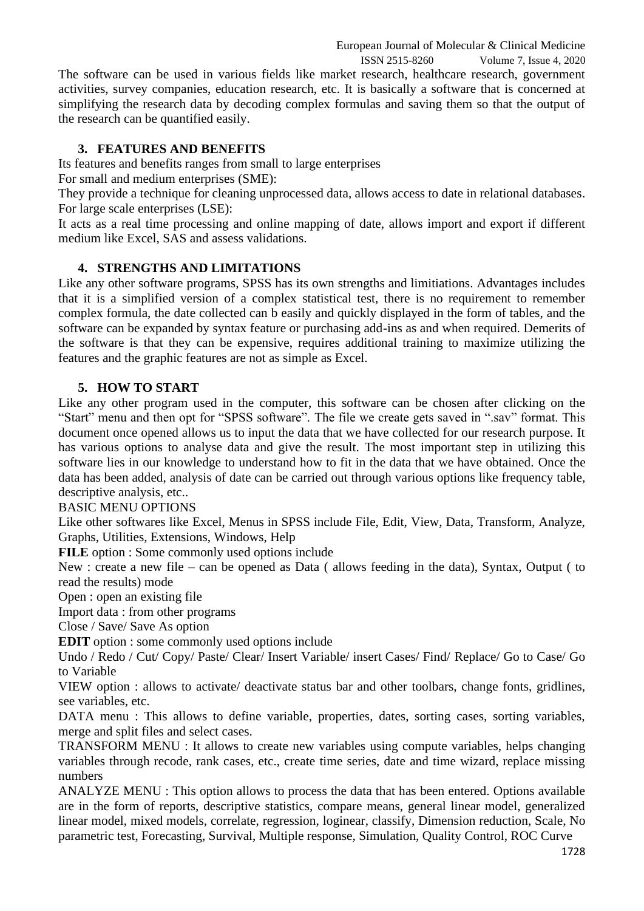European Journal of Molecular & Clinical Medicine ISSN 2515-8260 Volume 7, Issue 4, 2020 The software can be used in various fields like market research, healthcare research, government activities, survey companies, education research, etc. It is basically a software that is concerned at simplifying the research data by decoding complex formulas and saving them so that the output of the research can be quantified easily.

## **3. FEATURES AND BENEFITS**

Its features and benefits ranges from small to large enterprises

For small and medium enterprises (SME):

They provide a technique for cleaning unprocessed data, allows access to date in relational databases. For large scale enterprises (LSE):

It acts as a real time processing and online mapping of date, allows import and export if different medium like Excel, SAS and assess validations.

## **4. STRENGTHS AND LIMITATIONS**

Like any other software programs, SPSS has its own strengths and limitiations. Advantages includes that it is a simplified version of a complex statistical test, there is no requirement to remember complex formula, the date collected can b easily and quickly displayed in the form of tables, and the software can be expanded by syntax feature or purchasing add-ins as and when required. Demerits of the software is that they can be expensive, requires additional training to maximize utilizing the features and the graphic features are not as simple as Excel.

## **5. HOW TO START**

Like any other program used in the computer, this software can be chosen after clicking on the "Start" menu and then opt for "SPSS software". The file we create gets saved in ".sav" format. This document once opened allows us to input the data that we have collected for our research purpose. It has various options to analyse data and give the result. The most important step in utilizing this software lies in our knowledge to understand how to fit in the data that we have obtained. Once the data has been added, analysis of date can be carried out through various options like frequency table, descriptive analysis, etc..

#### BASIC MENU OPTIONS

Like other softwares like Excel, Menus in SPSS include File, Edit, View, Data, Transform, Analyze, Graphs, Utilities, Extensions, Windows, Help

**FILE** option : Some commonly used options include

New : create a new file – can be opened as Data ( allows feeding in the data), Syntax, Output ( to read the results) mode

Open : open an existing file

Import data : from other programs

Close / Save/ Save As option

**EDIT** option : some commonly used options include

Undo / Redo / Cut/ Copy/ Paste/ Clear/ Insert Variable/ insert Cases/ Find/ Replace/ Go to Case/ Go to Variable

VIEW option : allows to activate/ deactivate status bar and other toolbars, change fonts, gridlines, see variables, etc.

DATA menu: This allows to define variable, properties, dates, sorting cases, sorting variables, merge and split files and select cases.

TRANSFORM MENU : It allows to create new variables using compute variables, helps changing variables through recode, rank cases, etc., create time series, date and time wizard, replace missing numbers

ANALYZE MENU : This option allows to process the data that has been entered. Options available are in the form of reports, descriptive statistics, compare means, general linear model, generalized linear model, mixed models, correlate, regression, loginear, classify, Dimension reduction, Scale, No parametric test, Forecasting, Survival, Multiple response, Simulation, Quality Control, ROC Curve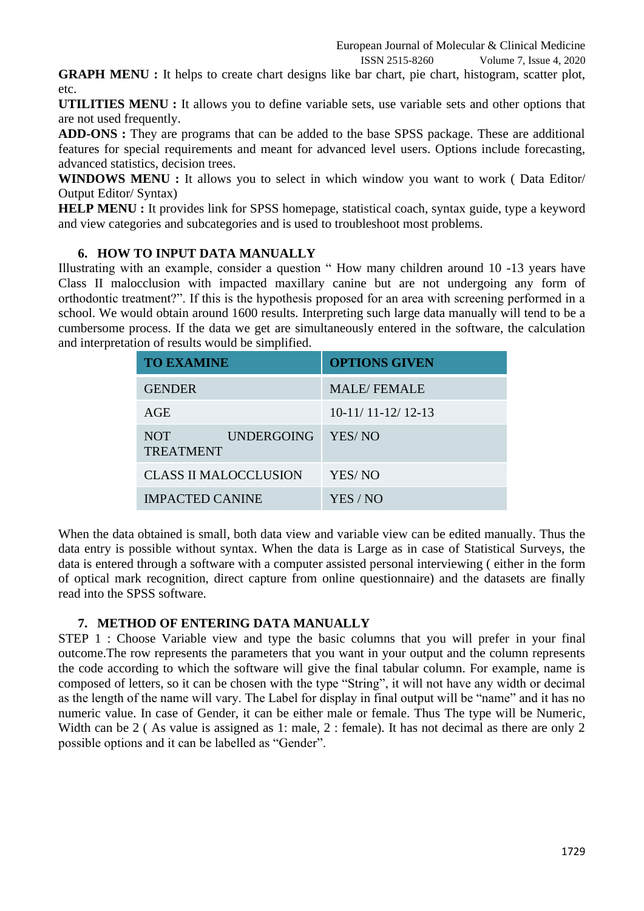ISSN 2515-8260 Volume 7, Issue 4, 2020 **GRAPH MENU :** It helps to create chart designs like bar chart, pie chart, histogram, scatter plot,

**UTILITIES MENU :** It allows you to define variable sets, use variable sets and other options that are not used frequently.

**ADD-ONS :** They are programs that can be added to the base SPSS package. These are additional features for special requirements and meant for advanced level users. Options include forecasting, advanced statistics, decision trees.

**WINDOWS MENU :** It allows you to select in which window you want to work ( Data Editor/ Output Editor/ Syntax)

**HELP MENU**: It provides link for SPSS homepage, statistical coach, syntax guide, type a keyword and view categories and subcategories and is used to troubleshoot most problems.

# **6. HOW TO INPUT DATA MANUALLY**

etc.

Illustrating with an example, consider a question " How many children around 10 -13 years have Class II malocclusion with impacted maxillary canine but are not undergoing any form of orthodontic treatment?". If this is the hypothesis proposed for an area with screening performed in a school. We would obtain around 1600 results. Interpreting such large data manually will tend to be a cumbersome process. If the data we get are simultaneously entered in the software, the calculation and interpretation of results would be simplified.

| <b>TO EXAMINE</b>                                        | <b>OPTIONS GIVEN</b> |
|----------------------------------------------------------|----------------------|
| <b>GENDER</b>                                            | <b>MALE/FEMALE</b>   |
| AGE                                                      | $10-11/11-12/12-13$  |
| NOT <sup></sup><br><b>UNDERGOING</b><br><b>TREATMENT</b> | YES/NO               |
| <b>CLASS II MALOCCLUSION</b>                             | YES/NO               |
| <b>IMPACTED CANINE</b>                                   | YES / NO             |

When the data obtained is small, both data view and variable view can be edited manually. Thus the data entry is possible without syntax. When the data is Large as in case of Statistical Surveys, the data is entered through a software with a computer assisted personal interviewing ( either in the form of optical mark recognition, direct capture from online questionnaire) and the datasets are finally read into the SPSS software.

## **7. METHOD OF ENTERING DATA MANUALLY**

STEP 1 : Choose Variable view and type the basic columns that you will prefer in your final outcome.The row represents the parameters that you want in your output and the column represents the code according to which the software will give the final tabular column. For example, name is composed of letters, so it can be chosen with the type "String", it will not have any width or decimal as the length of the name will vary. The Label for display in final output will be "name" and it has no numeric value. In case of Gender, it can be either male or female. Thus The type will be Numeric, Width can be 2 (As value is assigned as 1: male, 2 : female). It has not decimal as there are only 2 possible options and it can be labelled as "Gender".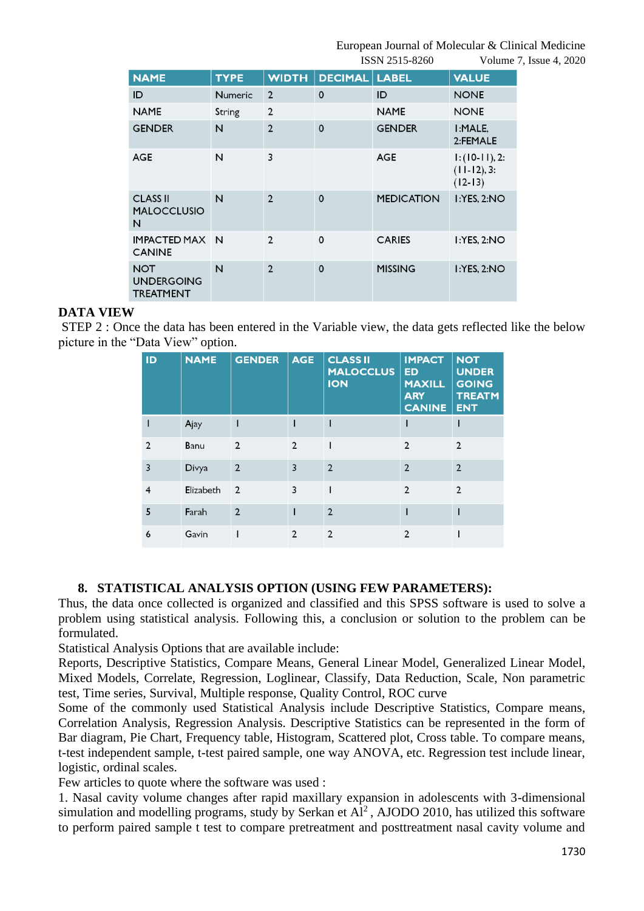European Journal of Molecular & Clinical Medicine

|                                                     |                |                |                      | ISSN 2515-8260    |                                                | Volume 7, Issue 4, 2020 |
|-----------------------------------------------------|----------------|----------------|----------------------|-------------------|------------------------------------------------|-------------------------|
| <b>NAME</b>                                         | <b>TYPE</b>    | <b>WIDTH</b>   | <b>DECIMAL LABEL</b> |                   | <b>VALUE</b>                                   |                         |
| ID                                                  | <b>Numeric</b> | $\overline{2}$ | $\mathbf 0$          | ID                | <b>NONE</b>                                    |                         |
| <b>NAME</b>                                         | String         | $\overline{2}$ |                      | <b>NAME</b>       | <b>NONE</b>                                    |                         |
| <b>GENDER</b>                                       | N              | $\overline{2}$ | $\Omega$             | <b>GENDER</b>     | I:MALE.<br>2:FEMALE                            |                         |
| <b>AGE</b>                                          | N              | 3              |                      | <b>AGE</b>        | $1: (10-11), 2:$<br>$(11-12), 3:$<br>$(12-13)$ |                         |
| <b>CLASS II</b><br><b>MALOCCLUSIO</b><br>N          | N              | $\overline{2}$ | $\mathbf 0$          | <b>MEDICATION</b> | 1:YES, 2:NO                                    |                         |
| IMPACTED MAX N<br><b>CANINE</b>                     |                | $\overline{2}$ | $\mathbf 0$          | <b>CARIES</b>     | I:YES, 2:NO                                    |                         |
| <b>NOT</b><br><b>UNDERGOING</b><br><b>TREATMENT</b> | N              | $\overline{2}$ | $\mathbf 0$          | <b>MISSING</b>    | I:YES, 2:NO                                    |                         |

#### **DATA VIEW**

STEP 2 : Once the data has been entered in the Variable view, the data gets reflected like the below picture in the "Data View" option.

| ID             | <b>NAME</b> | <b>GENDER</b>  | <b>AGE</b>     | <b>CLASS II</b><br><b>MALOCCLUS</b><br><b>ION</b> | <b>IMPACT</b><br><b>ED</b><br><b>MAXILL</b><br><b>ARY</b><br><b>CANINE</b> | <b>NOT</b><br><b>UNDER</b><br><b>GOING</b><br><b>TREATM</b><br><b>ENT</b> |
|----------------|-------------|----------------|----------------|---------------------------------------------------|----------------------------------------------------------------------------|---------------------------------------------------------------------------|
|                | Ajay        |                |                |                                                   |                                                                            |                                                                           |
| $\overline{2}$ | Banu        | $\overline{2}$ | $\overline{2}$ |                                                   | $\overline{2}$                                                             | $\overline{2}$                                                            |
| 3              | Divya       | $\overline{2}$ | 3              | $\overline{2}$                                    | $\overline{2}$                                                             | $\overline{2}$                                                            |
| 4              | Elizabeth   | $\overline{2}$ | 3              |                                                   | $\overline{2}$                                                             | $\overline{2}$                                                            |
| 5              | Farah       | $\overline{2}$ |                | $\overline{2}$                                    |                                                                            |                                                                           |
| 6              | Gavin       |                | $\overline{2}$ | $\overline{2}$                                    | $\overline{2}$                                                             |                                                                           |

## **8. STATISTICAL ANALYSIS OPTION (USING FEW PARAMETERS):**

Thus, the data once collected is organized and classified and this SPSS software is used to solve a problem using statistical analysis. Following this, a conclusion or solution to the problem can be formulated.

Statistical Analysis Options that are available include:

Reports, Descriptive Statistics, Compare Means, General Linear Model, Generalized Linear Model, Mixed Models, Correlate, Regression, Loglinear, Classify, Data Reduction, Scale, Non parametric test, Time series, Survival, Multiple response, Quality Control, ROC curve

Some of the commonly used Statistical Analysis include Descriptive Statistics, Compare means, Correlation Analysis, Regression Analysis. Descriptive Statistics can be represented in the form of Bar diagram, Pie Chart, Frequency table, Histogram, Scattered plot, Cross table. To compare means, t-test independent sample, t-test paired sample, one way ANOVA, etc. Regression test include linear, logistic, ordinal scales.

Few articles to quote where the software was used :

1. Nasal cavity volume changes after rapid maxillary expansion in adolescents with 3-dimensional simulation and modelling programs, study by Serkan et  $Al^2$ , AJODO 2010, has utilized this software to perform paired sample t test to compare pretreatment and posttreatment nasal cavity volume and